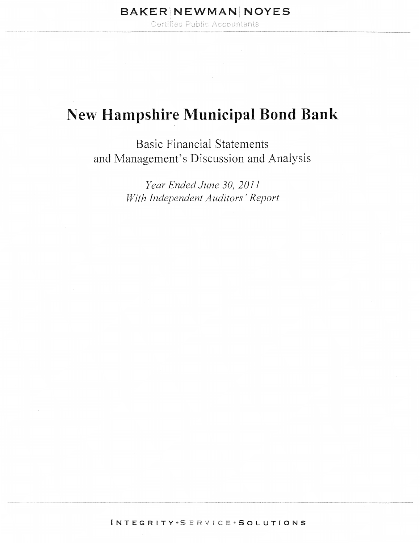Certified Public Accountants

## New **Hampshire Municipal Bond Bank**

Basic Financial Statements and Management's Discussion and Analysis

> *Year Ended June 30, 2011 With Independent Auditors' Report*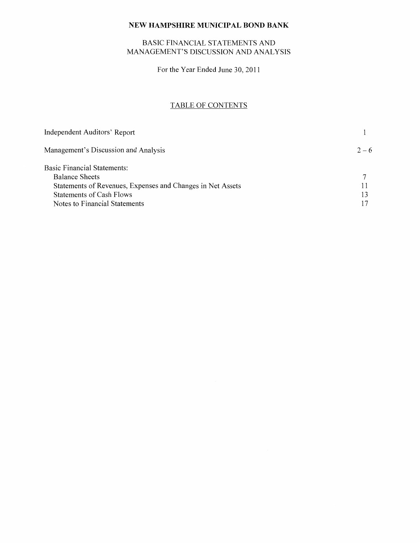## BASIC FINANCIAL STATEMENTS AND MANAGEMENT'S DISCUSSION AND ANALYSIS

For the Year Ended June 30, 2011

## TABLE OF CONTENTS

| Independent Auditors' Report                               |         |
|------------------------------------------------------------|---------|
| Management's Discussion and Analysis                       | $2 - 6$ |
| Basic Financial Statements:                                |         |
| <b>Balance Sheets</b>                                      |         |
| Statements of Revenues, Expenses and Changes in Net Assets |         |
| Statements of Cash Flows                                   | 13      |
| Notes to Financial Statements                              |         |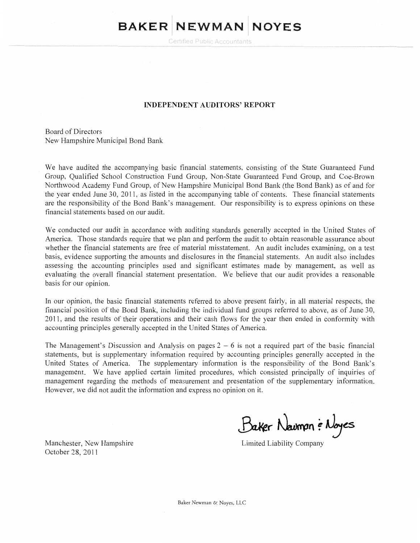# **BAKER** NEWMAN NOYES

Certified Public Accountants

#### **INDEPENDENT AUDITORS' REPORT**

Board of Directors New Hampshire Municipal Bond Bank

We have audited the accompanying basic financial statements, consisting of the State Guaranteed Fund Group, Qualified School Construction Fund Group, Non-State Guaranteed Fund Group, and Coe-Brown Northwood Academy Fund Group, of New Hampshire Municipal Bond Bank (the Bond Bank) as of and for the year ended June 30, 2011, as listed in the accompanying table of contents. These financial statements are the responsibility of the Bond Bank's management. Our responsibility is to express opinions on these financial statements based on our audit.

We conducted our audit in accordance with auditing standards generally accepted in the United States of America. Those standards require that we plan and perform the audit to obtain reasonable assurance about whether the financial statements are free of material misstatement. An audit includes examining, on a test basis, evidence supporting the amounts and disclosures in the financial statements. An audit also includes assessing the accounting principles used and significant estimates made by management, as well as evaluating the overall financial statement presentation. We believe that our audit provides a reasonable basis for our opinion.

In our opinion, the basic financial statements referred to above present fairly, in all material respects, the 11nancial position of the Bond Bank, including the individual fund groups referred to above, as of June 30, 20 11, and the results of their operations and their cash flows for the year then ended in conformity with accounting principles generally accepted in the United States of America.

The Management's Discussion and Analysis on pages  $2 - 6$  is not a required part of the basic financial statements, but is supplementary infonnation required by accounting principles generally accepted in the United States of America. The supplementary information is the responsibility of the Bond Bank's management. We have applied certain limited procedures, which consisted principally of inquiries of management regarding the methods of measurement and presentation of the supplementary information. However, we did not audit the information and express no opinion on it.

Baker Navman & Noyes

Manchester, New Hampshire October 28, 2011

Limited Liability Company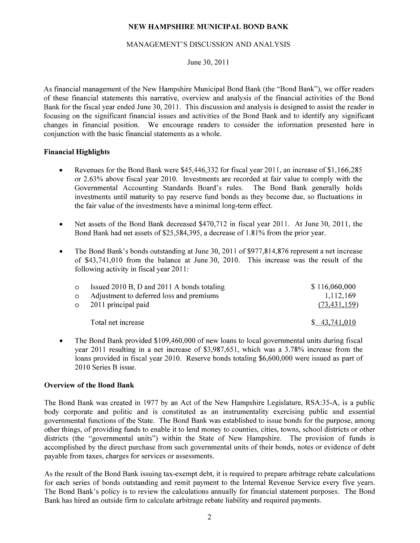#### MANAGEMENT'S DISCUSSION AND ANALYSIS

#### June 30, 2011

As financial management of the New Hampshire Municipal Bond Bank (the "Bond Bank"), we offer readers of these financial statements this narrative, overview and analysis of the financial activities of the Bond Bank for the fiscal year ended June 30, 2011. This discussion and analysis is designed to assist the reader in focusing on the significant financial issues and activities of the Bond Bank and to identify any significant changes in financial position. We encourage readers to consider the information presented here in conjunction with the basic financial statements as a whole.

#### **Financial Highlights**

- Revenues for the Bond Bank were \$45,446,332 for fiscal year 2011, an increase of \$1,166,285 or 2.63% above fiscal year 2010. Investments are recorded at fair value to comply with the Governmental Accounting Standards Board's rules. The Bond Bank generally holds investments until maturity to pay reserve fund bonds as they become due, so fluctuations in the fair value of the investments have a minimal long-term effect.
- Net assets of the Bond Bank decreased \$470,712 in fiscal year 2011. At June 30, 2011, the Bond Bank had net assets of \$25,584,395, a decrease of 1.81% from the prior year.
- The Bond Bank's bonds outstanding at June 30, 2011 of \$977,814,876 represent a net increase of \$43,741,010 from the balance at June 30, 2010. This increase was the result of the following activity in fiscal year 2011:

| $\circ$ | Issued 2010 B, D and 2011 A bonds totaling | \$116,060,000  |
|---------|--------------------------------------------|----------------|
| $\circ$ | Adjustment to deferred loss and premiums   | 1,112,169      |
|         | $\circ$ 2011 principal paid                | (73, 431, 159) |
|         | Total net increase                         | \$43,741,010   |

• The Bond Bank provided \$109,460,000 of new loans to local governmental units during fiscal year 2011 resulting in a net increase of \$3,987,651, which was a 3.78% increase from the loans provided in fiscal year 2010. Reserve bonds totaling \$6,600,000 were issued as part of 2010 Series B issue.

#### **Overview of the Bond Bank**

The Bond Bank was created in 1977 by an Act of the New Hampshire Legislature, RSA:35-A, is a public body corporate and politic and is constituted as an instrumentality exercising public and essential governmental functions of the State. The Bond Bank was established to issue bonds for the purpose, among other things, of providing funds to enable it to lend money to counties, cities, towns, school districts or other districts (the "governmental units") within the State of New Hampshire. The provision of funds is accomplished by the direct purchase from such governmental units of their bonds, notes or evidence of debt payable from taxes, charges for services or assessments.

As the result of the Bond Bank issuing tax-exempt debt, it is required to prepare arbitrage rebate calculations for each series of bonds outstanding and remit payment to the Internal Revenue Service every five years. The Bond Bank's policy is to review the calculations annually for financial statement purposes. The Bond Bank has hired an outside firm to calculate arbitrage rebate liability and required payments.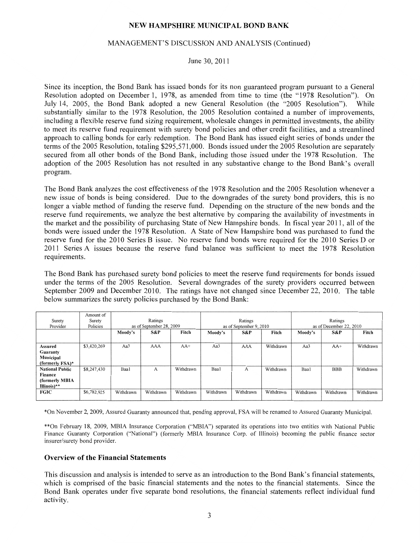#### MANAGEMENT'S DISCUSSION AND ANALYSIS (Continued)

June 30, 2011

Since its inception, the Bond Bank has issued bonds for its non guaranteed program pursuant to a General Resolution adopted on December 1, 1978, as amended from time to time (the "1978 Resolution"). On July 14, 2005, the Bond Bank adopted a new General Resolution (the "2005 Resolution"). While substantially similar to the 1978 Resolution, the 2005 Resolution contained a number of improvements, including a flexible reserve fund sizing requirement, wholesale changes in permitted investments, the ability to meet its reserve fund requirement with surety bond policies and other credit facilities, and a streamlined approach to calling bonds for early redemption. The Bond Bank has issued eight series of bonds under the terms of the 2005 Resolution, totaling \$295,571,000. Bonds issued under the 2005 Resolution are separately secured from all other bonds of the Bond Bank, including those issued under the 1978 Resolution. The adoption of the 2005 Resolution has not resulted in any substantive change to the Bond Bank's overall program.

The Bond Bank analyzes the cost effectiveness of the 1978 Resolution and the 2005 Resolution whenever a new issue of bonds is being considered. Due to the downgrades of the surety bond providers, this is no longer a viable method of funding the reserve fund. Depending on the structure of the new bonds and the reserve fund requirements, we analyze the best alternative by comparing the availability of investments in the market and the possibility of purchasing State of New Hampshire bonds. In fiscal year 2011, all of the bonds were issued under the 1978 Resolution. A State of New Hampshire bond was purchased to fund the reserve fund for the 2010 Series B issue. No reserve fund bonds were required for the 2010 Series D or 2011 Series A issues because the reserve fund balance was sufficient to meet the 1978 Resolution requirements.

The Bond Bank has purchased surety bond policies to meet the reserve fund requirements for bonds issued under the terms of the 2005 Resolution. Several downgrades of the surety providers occurred between September 2009 and December 2010. The ratings have not changed since December 22, 2010. The table below summarizes the surety policies purchased by the Bond Bank:

|                        | Amount of   |           |                          |           |           |                         |           |                         |            |           |
|------------------------|-------------|-----------|--------------------------|-----------|-----------|-------------------------|-----------|-------------------------|------------|-----------|
| Surety                 | Surety      | Ratings   |                          | Ratings   |           | Ratings                 |           |                         |            |           |
| Provider               | Policies    |           | as of September 28, 2009 |           |           | as of September 9, 2010 |           | as of December 22, 2010 |            |           |
|                        |             | Moody's   | S&P                      | Fitch     | Moody's   | S&P                     | Fitch     | Moody's                 | S&P        | Fitch     |
|                        |             |           |                          |           |           |                         |           |                         |            |           |
| Assured                | \$3,420,269 | Aa3       | AAA                      | $AA+$     | Aa3       | AAA                     | Withdrawn | Aa3                     | $AA+$      | Withdrawn |
| Guaranty               |             |           |                          |           |           |                         |           |                         |            |           |
| Municipal              |             |           |                          |           |           |                         |           |                         |            |           |
| (formerly $FSA$ )*     |             |           |                          |           |           |                         |           |                         |            |           |
| <b>National Public</b> | \$8,247,430 | Baa1      | A                        | Withdrawn | Baa1      | А                       | Withdrawn | Baa1                    | <b>BBB</b> | Withdrawn |
| Finance                |             |           |                          |           |           |                         |           |                         |            |           |
| (formerly MBIA         |             |           |                          |           |           |                         |           |                         |            |           |
| Illinois)**            |             |           |                          |           |           |                         |           |                         |            |           |
| <b>FGIC</b>            | \$6,782,925 | Withdrawn | Withdrawn                | Withdrawn | Withdrawn | Withdrawn               | Withdrawn | Withdrawn               | Withdrawn  | Withdrawn |
|                        |             |           |                          |           |           |                         |           |                         |            |           |

\*On November 2, 2009, Assured Guaranty announced that, pending approval, FSA will be renamed to Assured Guaranty Municipal.

\*\*On February 18, 2009, MBIA Insurance Corporation ("MBIA") separated its operations into two entities with National Public Finance Guaranty Corporation ("National") (formerly MBIA Insurance Corp. of Illinois) becoming the public finance sector insurer/surety bond provider.

#### Overview of the Financial Statements

This discussion and analysis is intended to serve as an introduction to the Bond Bank's financial statements, which is comprised of the basic financial statements and the notes to the financial statements. Since the Bond Bank operates under five separate bond resolutions, the financial statements reflect individual fund activity.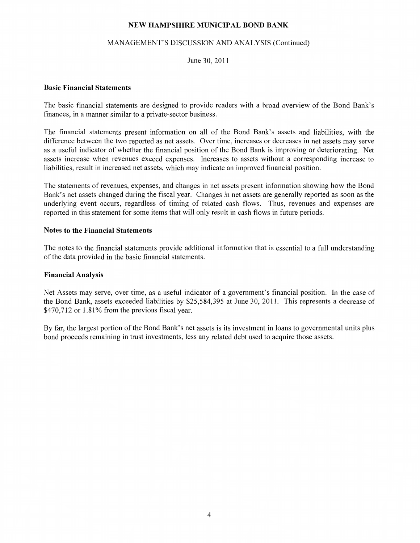#### MANAGEMENT'S DISCUSSION AND ANALYSIS (Continued)

June 30, 2011

#### Basic Financial Statements

The basic financial statements are designed to provide readers with a broad overview of the Bond Bank's finances, in a manner similar to a private-sector business.

The financial statements present information on all of the Bond Bank's assets and liabilities, with the difference between the two reported as net assets. Over time, increases or decreases in net assets may serve as a useful indicator of whether the financial position of the Bond Bank is improving or deteriorating. Net assets increase when revenues exceed expenses. Increases to assets without a corresponding increase to liabilities, result in increased net assets, which may indicate an improved financial position.

The statements of revenues, expenses, and changes in net assets present information showing how the Bond Bank's net assets changed during the fiscal year. Changes in net assets are generally reported as soon as the underlying event occurs, regardless of timing of related cash flows. Thus, revenues and expenses are reported in this statement for some items that will only result in cash flows in future periods.

#### Notes to the Financial Statements

The notes to the financial statements provide additional information that is essential to a full understanding of the data provided in the basic financial statements.

#### Financial Analysis

Net Assets may serve, over time, as a useful indicator of a government's financial position. In the case of the Bond Bank, assets exceeded liabilities by \$25,584,395 at June 30, 2011. This represents a decrease of \$470,712 or 1.81% from the previous fiscal year.

By far, the largest portion of the Bond Bank's net assets is its investment in loans to governmental units plus bond proceeds remaining in trust investments, less any related debt used to acquire those assets.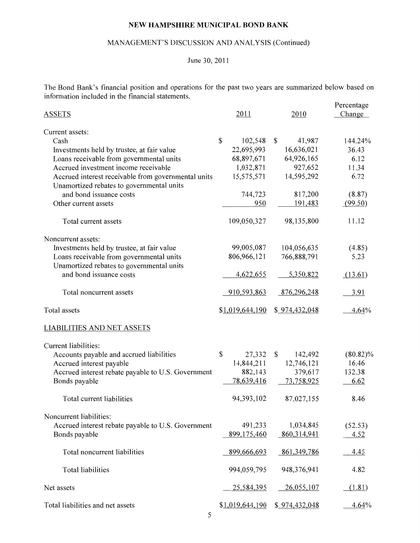#### MANAGEMENT'S DISCUSSION AND ANALYSIS (Continued)

## June 30, 2011

The Bond Bank's financial position and operations for the past two years are summarized below based on information included in the financial statements.

| <b>ASSETS</b>                                                                                    | 2011            | 2010          | Percentage<br>Change |
|--------------------------------------------------------------------------------------------------|-----------------|---------------|----------------------|
| Current assets:                                                                                  |                 |               |                      |
| Cash                                                                                             | \$<br>102,548   | 41,987<br>\$  | 144.24%              |
| Investments held by trustee, at fair value                                                       | 22,695,993      | 16,636,021    | 36.43                |
| Loans receivable from governmental units                                                         | 68,897,671      | 64,926,165    | 6.12                 |
| Accrued investment income receivable                                                             | 1,032,871       | 927,652       | 11.34                |
| Accrued interest receivable from governmental units<br>Unamortized rebates to governmental units | 15,575,571      | 14,595,292    | 6.72                 |
| and bond issuance costs                                                                          | 744,723         | 817,200       | (8.87)               |
| Other current assets                                                                             | 950             | 191,483       | (99.50)              |
| Total current assets                                                                             | 109,050,327     | 98,135,800    | 11.12                |
| Noncurrent assets:                                                                               |                 |               |                      |
| Investments held by trustee, at fair value                                                       | 99,005,087      | 104,056,635   | (4.85)               |
| Loans receivable from governmental units<br>Unamortized rebates to governmental units            | 806,966,121     | 766,888,791   | 5.23                 |
| and bond issuance costs                                                                          | 4,622,655       | 5,350,822     | (13.61)              |
| Total noncurrent assets                                                                          | 910,593,863     | 876,296,248   | 3.91                 |
| Total assets                                                                                     | \$1,019,644,190 | \$974,432,048 | 4.64%                |
| <b>LIABILITIES AND NET ASSETS</b>                                                                |                 |               |                      |
| Current liabilities:                                                                             |                 |               |                      |
| Accounts payable and accrued liabilities                                                         | \$<br>27,332    | \$<br>142,492 | $(80.82)\%$          |
| Accrued interest payable                                                                         | 14,844,211      | 12,746,121    | 16.46                |
| Accrued interest rebate payable to U.S. Government                                               | 882,143         | 379,617       | 132.38               |
| Bonds payable                                                                                    | 78,639,416      | 73,758,925    | 6.62                 |
| Total current liabilities                                                                        | 94,393,102      | 87,027,155    | 8.46                 |
| Noncurrent liabilities:                                                                          |                 |               |                      |
| Accrued interest rebate payable to U.S. Government                                               | 491,233         | 1,034,845     | (52.53)              |
| Bonds payable                                                                                    | 899,175,460     | 860,314,941   | 4.52                 |
| Total noncurrent liabilities                                                                     | 899,666,693     | 861, 349, 786 | 4.45                 |
| <b>Total liabilities</b>                                                                         | 994,059,795     | 948, 376, 941 | 4.82                 |
| Net assets                                                                                       | 25,584,395      | 26,055,107    | (1.81)               |
| Total liabilities and net assets                                                                 | \$1,019,644,190 | \$974,432,048 | 4.64%                |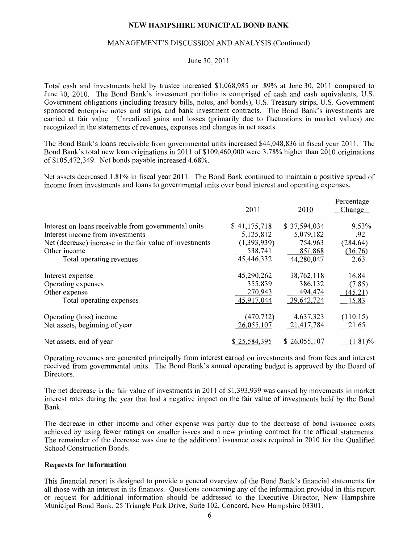#### MANAGEMENT'S DISCUSSION AND ANALYSIS (Continued)

#### June 30, 2011

Total cash and investments held by trustee increased \$1,068,985 or .89% at June 30, 2011 compared to June 30, 2010. The Bond Bank's investment portfolio is comprised of cash and cash equivalents, U.S. Government obligations (including treasury bills, notes, and bonds), U.S. Treasury strips, U.S. Government sponsored enterprise notes and strips, and bank investment contracts. The Bond Bank's investments are carried at fair value. Unrealized gains and losses (primarily due to fluctuations in market values) are recognized in the statements of revenues, expenses and changes **in** net assets.

The Bond Bank's loans receivable from governmental units increased \$44,048,836 in fiscal year 2011. The Bond Bank's total new loan originations in 2011 of\$109,460,000 were 3.78% higher than 2010 originations of\$105,472,349. Net bonds payable increased 4.68%.

Net assets decreased 1.81% in fiscal year 2011. The Bond Bank continued to maintain a positive spread of income from investments and loans to governmental units over bond interest and operating expenses.

|                                                          | 2011         | 2010         | Percentage<br>Change |
|----------------------------------------------------------|--------------|--------------|----------------------|
| Interest on loans receivable from governmental units     | \$41,175,718 | \$37,594,034 | 9.53%                |
| Interest income from investments                         | 5,125,812    | 5,079,182    | .92                  |
| Net (decrease) increase in the fair value of investments | (1,393,939)  | 754,963      | (284.64)             |
| Other income                                             | 538,741      | 851,868      | (36.76)              |
| Total operating revenues                                 | 45,446,332   | 44,280,047   | 2.63                 |
| Interest expense                                         | 45,290,262   | 38,762,118   | 16.84                |
| Operating expenses                                       | 355,839      | 386,132      | (7.85)               |
| Other expense                                            | 270,943      | 494,474      | (45.21)              |
| Total operating expenses                                 | 45,917,044   | 39,642,724   | 15.83                |
| Operating (loss) income                                  | (470, 712)   | 4,637,323    | (110.15)             |
| Net assets, beginning of year                            | 26,055,107   | 21,417,784   | 21.65                |
| Net assets, end of year                                  | \$25,584,395 | \$26,055,107 | $(1.81)\%$           |

Operating revenues are generated principally from interest earned on investments and from fees and interest received from governmental units. The Bond Bank's annual operating budget is approved by the Board of Directors.

The net decrease in the fair value of investments in 2011 of \$1,393,939 was caused by movements in market interest rates during the year that had a negative impact on the fair value of investments held by the Bond Bank.

The decrease in other income and other expense was partly due to the decrease of bond issuance costs achieved by using fewer ratings on smaller issues and a new printing contract for the official statements. The remainder of the decrease was due to the additional issuance costs required in 2010 for the Qualified School Construction Bonds.

#### **Requests for Information**

This financial report is designed to provide a general overview of the Bond Bank's financial statements for all those with an interest in its finances. Questions concerning any of the information provided in this report or request for additional information should be addressed to the Executive Director, New Hampshire Municipal Bond Bank, 25 Triangle Park Drive, Suite 102, Concord, New Hampshire 03301.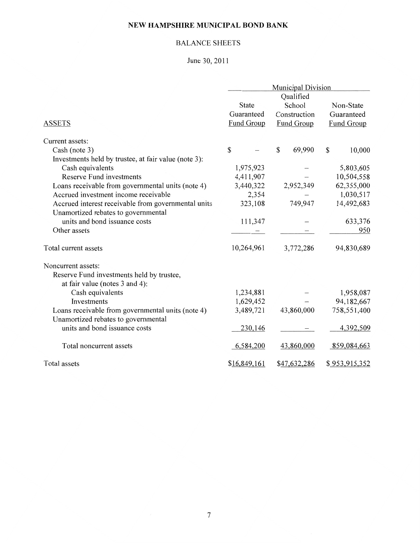## BALANCE SHEETS

June 30, 2011

|                                                      | <b>Municipal Division</b> |              |                   |  |
|------------------------------------------------------|---------------------------|--------------|-------------------|--|
|                                                      |                           | Qualified    |                   |  |
|                                                      | <b>State</b>              | School       | Non-State         |  |
|                                                      | Guaranteed                | Construction | Guaranteed        |  |
| <b>ASSETS</b>                                        | Fund Group                | Fund Group   | <b>Fund Group</b> |  |
| Current assets:                                      |                           |              |                   |  |
| Cash (note 3)                                        | \$                        | \$<br>69,990 | \$<br>10,000      |  |
| Investments held by trustee, at fair value (note 3): |                           |              |                   |  |
| Cash equivalents                                     | 1,975,923                 |              | 5,803,605         |  |
| <b>Reserve Fund investments</b>                      | 4,411,907                 |              | 10,504,558        |  |
| Loans receivable from governmental units (note 4)    | 3,440,322                 | 2,952,349    | 62,355,000        |  |
| Accrued investment income receivable                 | 2,354                     |              | 1,030,517         |  |
| Accrued interest receivable from governmental units  | 323,108                   | 749,947      | 14,492,683        |  |
| Unamortized rebates to governmental                  |                           |              |                   |  |
| units and bond issuance costs                        | 111,347                   |              | 633,376           |  |
| Other assets                                         |                           |              | 950               |  |
| Total current assets                                 | 10,264,961                | 3,772,286    | 94,830,689        |  |
| Noncurrent assets:                                   |                           |              |                   |  |
| Reserve Fund investments held by trustee,            |                           |              |                   |  |
| at fair value (notes 3 and 4):                       |                           |              |                   |  |
| Cash equivalents                                     | 1,234,881                 |              | 1,958,087         |  |
| Investments                                          | 1,629,452                 |              | 94,182,667        |  |
| Loans receivable from governmental units (note 4)    | 3,489,721                 | 43,860,000   | 758,551,400       |  |
| Unamortized rebates to governmental                  |                           |              |                   |  |
| units and bond issuance costs                        | 230,146                   |              | 4,392,509         |  |
| Total noncurrent assets                              | 6,584,200                 | 43,860,000   | 859,084,663       |  |
| Total assets                                         | \$16,849,161              | \$47,632,286 | \$953,915,352     |  |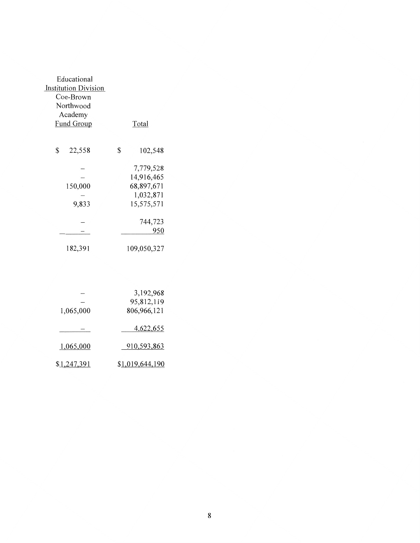| Educational                 |               |
|-----------------------------|---------------|
| <b>Institution Division</b> |               |
| Coe-Brown                   |               |
| Northwood                   |               |
| Academy                     |               |
| Fund Group                  | Total         |
|                             |               |
|                             |               |
| \$<br>22,558                | \$<br>102,548 |
|                             |               |
|                             | 7,779,528     |
|                             | 14,916,465    |
| 150,000                     | 68,897,671    |
|                             | 1,032,871     |
| 9,833                       | 15,575,571    |
|                             |               |
|                             | 744,723       |
|                             | 950           |
| 182,391                     | 109,050,327   |

|             | 3,192,968       |
|-------------|-----------------|
|             | 95,812,119      |
| 1,065,000   | 806,966,121     |
|             | 4,622,655       |
| 1,065,000   | 910,593,863     |
| \$1,247,391 | \$1,019,644,190 |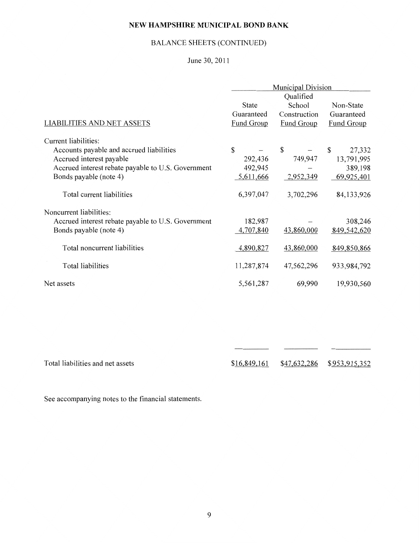## BALANCE SHEETS (CONTINUED)

## June 30, 2011

|                                                    | <b>Municipal Division</b> |                   |                   |  |
|----------------------------------------------------|---------------------------|-------------------|-------------------|--|
|                                                    |                           | Qualified         |                   |  |
|                                                    | <b>State</b>              | School            | Non-State         |  |
|                                                    | Guaranteed                | Construction      | Guaranteed        |  |
| <b>LIABILITIES AND NET ASSETS</b>                  | <b>Fund Group</b>         | <b>Fund Group</b> | <b>Fund Group</b> |  |
| Current liabilities:                               |                           |                   |                   |  |
| Accounts payable and accrued liabilities           | \$                        | \$                | \$<br>27,332      |  |
| Accrued interest payable                           | 292,436                   | 749,947           | 13,791,995        |  |
| Accrued interest rebate payable to U.S. Government | 492,945                   |                   | 389,198           |  |
| Bonds payable (note 4)                             | 5,611,666                 | 2,952,349         | 69,925,401        |  |
| Total current liabilities                          | 6,397,047                 | 3,702,296         | 84,133,926        |  |
| Noncurrent liabilities:                            |                           |                   |                   |  |
| Accrued interest rebate payable to U.S. Government | 182,987                   |                   | 308,246           |  |
| Bonds payable (note 4)                             | 4,707,840                 | 43,860,000        | 849,542,620       |  |
| Total noncurrent liabilities                       | 4,890,827                 | 43,860,000        | 849,850,866       |  |
| Total liabilities                                  | 11,287,874                | 47,562,296        | 933,984,792       |  |
| Net assets                                         | 5,561,287                 | 69,990            | 19,930,560        |  |

Total liabilities and net assets \$16.849.161 \$47,632,286 \$953,915,352

See accompanying notes to the financial statements.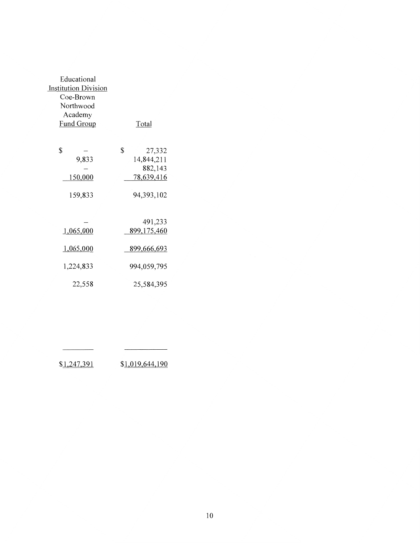| Educational                 |              |
|-----------------------------|--------------|
| <b>Institution Division</b> |              |
| Coe-Brown                   |              |
| Northwood                   |              |
| Academy                     |              |
| <b>Fund Group</b>           | Total        |
|                             |              |
|                             |              |
| \$                          | \$<br>27,332 |
| 9,833                       | 14,844,211   |
|                             | 882,143      |
| 150,000                     | 78,639,416   |
|                             |              |
| 159,833                     | 94,393,102   |
|                             |              |
|                             |              |
|                             | 491,233      |
| 1,065,000                   | 899,175,460  |
|                             |              |
| 1,065,000                   | 899,666,693  |
|                             |              |
| 1,224,833                   | 994,059,795  |
|                             |              |
| 22,558                      | 25,584,395   |
|                             |              |

| \$1,247,391 | \$1,019,644,190 |
|-------------|-----------------|
|-------------|-----------------|

 $\overline{\phantom{a}}$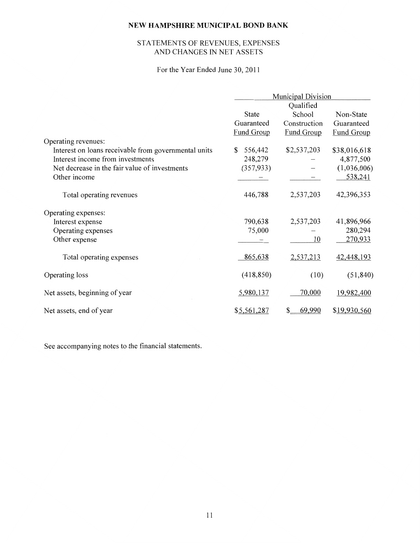## STATEMENTS OF REVENUES, EXPENSES AND CHANGES IN NET ASSETS

## For the Year Ended June 30,2011

|                                                      | Municipal Division |                   |                   |
|------------------------------------------------------|--------------------|-------------------|-------------------|
|                                                      |                    | Qualified         |                   |
|                                                      | <b>State</b>       | School            | Non-State         |
|                                                      | Guaranteed         | Construction      | Guaranteed        |
|                                                      | Fund Group         | <b>Fund Group</b> | <b>Fund Group</b> |
| Operating revenues:                                  |                    |                   |                   |
| Interest on loans receivable from governmental units | 556,442<br>S.      | \$2,537,203       | \$38,016,618      |
| Interest income from investments                     | 248,279            |                   | 4,877,500         |
| Net decrease in the fair value of investments        | (357, 933)         |                   | (1,036,006)       |
| Other income                                         |                    |                   | 538,241           |
| Total operating revenues                             | 446,788            | 2,537,203         | 42,396,353        |
| Operating expenses:                                  |                    |                   |                   |
| Interest expense                                     | 790,638            | 2,537,203         | 41,896,966        |
| Operating expenses                                   | 75,000             |                   | 280,294           |
| Other expense                                        |                    | 10                | 270,933           |
| Total operating expenses                             | 865,638            | 2,537,213         | 42,448,193        |
| Operating loss                                       | (418, 850)         | (10)              | (51, 840)         |
| Net assets, beginning of year                        | 5,980,137          | 70,000            | 19,982,400        |
| Net assets, end of year                              | \$5,561,287        | 69,990<br>S       | \$19,930,560      |

See accompanying notes to the financial statements.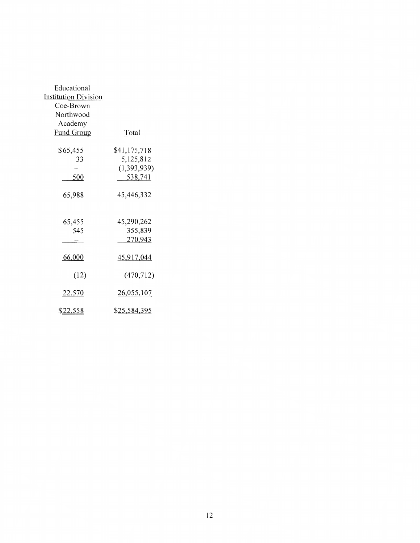| Educational                 |                     |
|-----------------------------|---------------------|
| <b>Institution Division</b> |                     |
| Coe-Brown                   |                     |
| Northwood                   |                     |
| Academy                     |                     |
| Fund Group                  | Total               |
|                             |                     |
| \$65,455                    | \$41,175,718        |
| 33                          | 5,125,812           |
|                             | (1,393,939)         |
| 500                         | 538,741             |
|                             |                     |
| 65,988                      | 45,446,332          |
|                             |                     |
| 65,455                      | 45,290,262          |
| 545                         | 355,839             |
|                             | 270,943             |
|                             |                     |
| 66,000                      | 45,917,044          |
|                             |                     |
| (12)                        | (470, 712)          |
|                             |                     |
| <u>22,570</u>               | 26,055,107          |
|                             |                     |
| <u>\$22,558</u>             | <u>\$25,584,395</u> |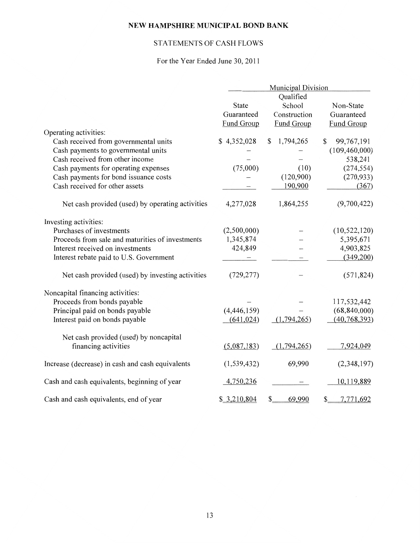## STATEMENTS OF CASH FLOWS

## For the Year Ended June 30, 2011

|                                                  | <b>Municipal Division</b> |                 |                                |
|--------------------------------------------------|---------------------------|-----------------|--------------------------------|
|                                                  |                           | Qualified       |                                |
|                                                  | State                     | School          | Non-State                      |
|                                                  | Guaranteed                | Construction    | Guaranteed                     |
|                                                  | Fund Group                | Fund Group      | Fund Group                     |
| Operating activities:                            |                           |                 |                                |
| Cash received from governmental units            | \$4,352,028               | 1,794,265<br>\$ | 99,767,191<br>\$               |
| Cash payments to governmental units              |                           |                 | (109, 460, 000)                |
| Cash received from other income                  |                           |                 | 538,241                        |
| Cash payments for operating expenses             | (75,000)                  | (10)            | (274, 554)                     |
| Cash payments for bond issuance costs            |                           | (120,900)       | (270, 933)                     |
| Cash received for other assets                   |                           | 190,900         | (367)                          |
| Net cash provided (used) by operating activities | 4,277,028                 | 1,864,255       | (9,700,422)                    |
| Investing activities:                            |                           |                 |                                |
| Purchases of investments                         | (2,500,000)               |                 | (10, 522, 120)                 |
| Proceeds from sale and maturities of investments | 1,345,874                 |                 | 5,395,671                      |
| Interest received on investments                 | 424,849                   |                 | 4,903,825                      |
| Interest rebate paid to U.S. Government          |                           |                 | (349,200)                      |
| Net cash provided (used) by investing activities | (729, 277)                |                 | (571, 824)                     |
| Noncapital financing activities:                 |                           |                 |                                |
| Proceeds from bonds payable                      |                           |                 | 117,532,442                    |
| Principal paid on bonds payable                  | (4,446,159)               |                 | (68, 840, 000)                 |
| Interest paid on bonds payable                   | (641, 024)                | (1,794,265)     | (40, 768, 393)                 |
| Net cash provided (used) by noncapital           |                           |                 |                                |
| financing activities                             | (5,087,183)               | (1,794,265)     | 7,924,049                      |
| Increase (decrease) in cash and cash equivalents | (1, 539, 432)             | 69,990          | (2,348,197)                    |
| Cash and cash equivalents, beginning of year     | 4,750,236                 |                 | 10,119,889                     |
| Cash and cash equivalents, end of year           | \$3,210,804               | 69,990<br>\$    | 7,771,692<br>$\mathcal{S}_{-}$ |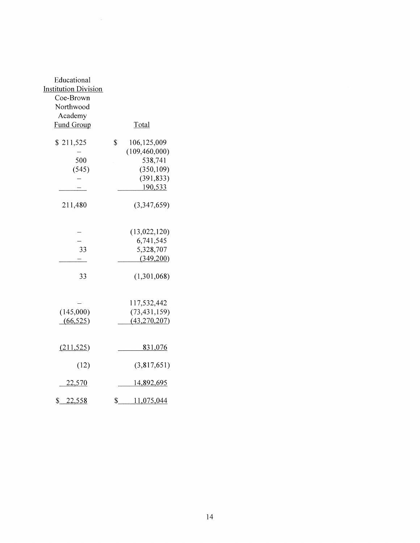| Educational<br><b>Institution Division</b><br>Coe-Brown<br>Northwood<br>Academy<br><b>Fund Group</b> | Total                                                                                  |
|------------------------------------------------------------------------------------------------------|----------------------------------------------------------------------------------------|
| \$211,525<br>500<br>(545)                                                                            | \$<br>106,125,009<br>(109, 460, 000)<br>538,741<br>(350, 109)<br>(391, 833)<br>190,533 |
| 211,480                                                                                              | (3,347,659)                                                                            |
| 33                                                                                                   | (13,022,120)<br>6,741,545<br>5,328,707<br>(349,200)                                    |
| 33                                                                                                   | (1,301,068)                                                                            |
| (145,000)<br>(66, 525)                                                                               | 117,532,442<br>(73, 431, 159)<br>(43, 270, 207)                                        |
| (211, 525)                                                                                           | <u>831,076</u>                                                                         |
| (12)                                                                                                 | (3,817,651)                                                                            |
| <u>22,570</u>                                                                                        | <u>14,892,695</u>                                                                      |
| $S_{-}$<br><u>22,558</u>                                                                             | 11,075,044<br>\$.                                                                      |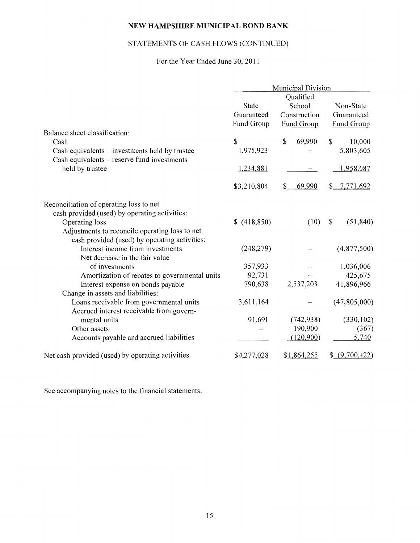## STATEMENTS OF CASH FLOWS (CONTINUED)

For the Year Ended June 30, 2011

|                                                  | <b>Municipal Division</b> |              |                   |
|--------------------------------------------------|---------------------------|--------------|-------------------|
|                                                  |                           | Qualified    |                   |
|                                                  | State                     | School       | Non-State         |
|                                                  | Guaranteed                | Construction | Guaranteed        |
|                                                  | Fund Group                | Fund Group   | <b>Fund Group</b> |
| Balance sheet classification:                    |                           |              |                   |
| Cash                                             | \$                        | \$<br>69,990 | 10,000<br>\$      |
| Cash equivalents – investments held by trustee   | 1,975,923                 |              | 5,803,605         |
| Cash equivalents - reserve fund investments      |                           |              |                   |
| held by trustee                                  | 1,234,881                 |              | 1,958,087         |
|                                                  | \$3,210,804               | 69,990<br>\$ | \$7,771,692       |
| Reconciliation of operating loss to net          |                           |              |                   |
| cash provided (used) by operating activities:    |                           |              |                   |
| Operating loss                                   | \$(418,850)               | (10)         | (51, 840)<br>\$   |
| Adjustments to reconcile operating loss to net   |                           |              |                   |
| cash provided (used) by operating activities:    |                           |              |                   |
| Interest income from investments                 | (248, 279)                |              | (4,877,500)       |
| Net decrease in the fair value                   |                           |              |                   |
| of investments                                   | 357,933                   |              | 1,036,006         |
| Amortization of rebates to governmental units    | 92,731                    |              | 425,675           |
| Interest expense on bonds payable                | 790,638                   | 2,537,203    | 41,896,966        |
| Change in assets and liabilities:                |                           |              |                   |
| Loans receivable from governmental units         | 3,611,164                 |              | (47,805,000)      |
| Accrued interest receivable from govern-         |                           |              |                   |
| mental units                                     | 91,691                    | (742, 938)   | (330, 102)        |
| Other assets                                     |                           | 190,900      | (367)             |
| Accounts payable and accrued liabilities         |                           | (120,900)    | 5,740             |
| Net cash provided (used) by operating activities | \$4,277,028               | \$1,864,255  | \$ (9,700,422)    |

See accompanying notes to the financial statements.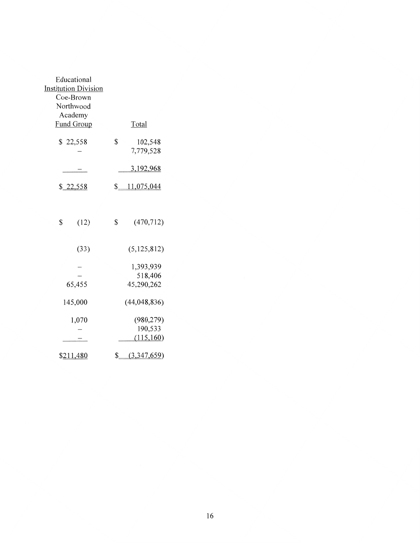| Educational                 |                            |  |
|-----------------------------|----------------------------|--|
| <b>Institution Division</b> |                            |  |
| Coe-Brown                   |                            |  |
| Northwood                   |                            |  |
|                             |                            |  |
| Academy                     |                            |  |
| Fund Group                  | Total                      |  |
| \$22,558                    | \$<br>102,548<br>7,779,528 |  |
|                             | 3,192,968                  |  |
| \$22,558                    | \$11,075,044               |  |
|                             |                            |  |
| \$<br>(12)                  | \$<br>(470, 712)           |  |
| (33)                        | (5, 125, 812)              |  |
|                             | 1,393,939                  |  |
|                             | 518,406                    |  |
| 65,455                      | 45,290,262                 |  |
| 145,000                     | (44, 048, 836)             |  |
| 1,070                       | (980, 279)                 |  |
|                             | 190,533                    |  |
|                             | (115,160)                  |  |
| \$211,480                   | \$ (3,347,659)             |  |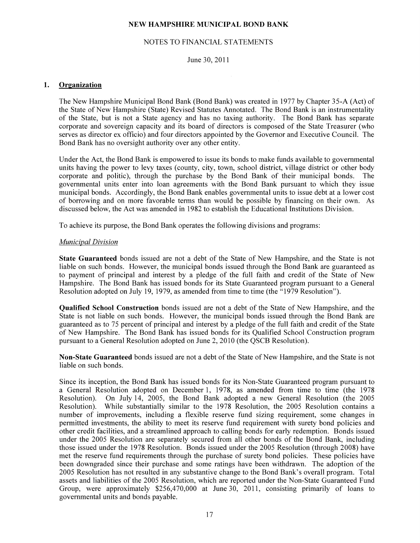#### NOTES TO FINANCIAL STATEMENTS

#### June 30, 2011

#### 1. Organization

The New Hampshire Municipal Bond Bank (Bond Bank) was created in 1977 by Chapter 35-A (Act) of the State of New Hampshire (State) Revised Statutes Annotated. The Bond Bank is an instrumentality of the State, but is not a State agency and has no taxing authority. The Bond Bank has separate corporate and sovereign capacity and its board of directors is composed of the State Treasurer (who serves as director ex officio) and four directors appointed by the Governor and Executive Council. The Bond Bank has no oversight authority over any other entity.

Under the Act, the Bond Bank is empowered to issue its bonds to make funds available to governmental units having the power to levy taxes (county, city, town, school district, village district or other body corporate and politic), through the purchase by the Bond Bank of their municipal bonds. The governmental units enter into loan agreements with the Bond Bank pursuant to which they issue municipal bonds. Accordingly, the Bond Bank enables governmental units to issue debt at a lower cost of borrowing and on more favorable terms than would be possible by financing on their own. As discussed below, the Act was amended in 1982 to establish the Educational Institutions Division.

To achieve its purpose, the Bond Bank operates the following divisions and programs:

#### *Municipal Division*

State Guaranteed bonds issued are not a debt of the State of New Hampshire, and the State is not liable on such bonds. However, the municipal bonds issued through the Bond Bank are guaranteed as to payment of principal and interest by a pledge of the full faith and credit of the State of New Hampshire. The Bond Bank has issued bonds for its State Guaranteed program pursuant to a General Resolution adopted on July 19, 1979, as amended from time to time (the "1979 Resolution").

Qualified School Construction bonds issued are not a debt of the State of New Hampshire, and the State is not liable on such bonds. However, the municipal bonds issued through the Bond Bank are guaranteed as to 75 percent of principal and interest by a pledge of the full faith and credit of the State of New Hampshire. The Bond Bank has issued bonds for its Qualified School Construction program pursuant to a General Resolution adopted on June 2, 2010 (the QSCB Resolution).

Non-State Guaranteed bonds issued are not a debt of the State of New Hampshire, and the State is not liable on such bonds.

Since its inception, the Bond Bank has issued bonds for its Non-State Guaranteed program pursuant to a General Resolution adopted on December 1, 1978, as amended from time to time (the 1978 Resolution). On July 14, 2005, the Bond Bank adopted a new General Resolution (the 2005 Resolution). While substantially similar to the 1978 Resolution, the 2005 Resolution contains a number of improvements, including a flexible reserve fund sizing requirement, some changes in permitted investments, the ability to meet its reserve fund requirement with surety bond policies and other credit facilities, and a streamlined approach to calling bonds for early redemption. Bonds issued under the 2005 Resolution are separately secured from all other bonds of the Bond Bank, including those issued under the 1978 Resolution. Bonds issued under the 2005 Resolution (through 2008) have met the reserve fund requirements through the purchase of surety bond policies. These policies have been downgraded since their purchase and some ratings have been withdrawn. The adoption of the 2005 Resolution has not resulted in any substantive change to the Bond Bank's overall program. Total assets and liabilities of the 2005 Resolution, which are reported under the Non-State Guaranteed Fund Group, were approximately \$256,470,000 at June 30, 2011, consisting primarily of loans to governmental units and bonds payable.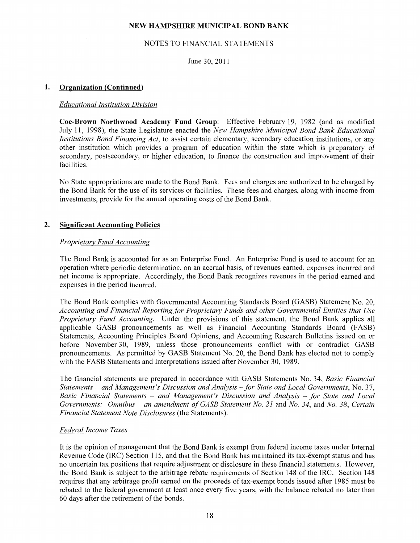#### NOTES TO FINANCIAL STATEMENTS

June 30, 2011

#### **1. Organization (Continued)**

#### *Educational Institution Division*

**Coe-Brown Northwood Academy Fund Group:** Effective February 19, 1982 (and as modified July 11, 1998), the State Legislature enacted the *New Hampshire Municipal Bond Bank Educational Institutions Bond Financing Act,* to assist certain elementary, secondary education institutions, or any other institution which provides a program of education within the state which is preparatory of secondary, postsecondary, or higher education, to finance the construction and improvement of their facilities.

No State appropriations are made to the Bond Bank. Fees and charges are authorized to be charged by the Bond Bank for the use of its services or facilities. These fees and charges, along with income from investments, provide for the annual operating costs of the Bond Bank.

#### **2. Significant Accounting Policies**

#### *Proprietary Fund Accounting*

The Bond Bank is accounted for as an Enterprise Fund. An Enterprise Fund is used to account for an operation where periodic determination, on an accrual basis, of revenues earned, expenses incurred and net income is appropriate. Accordingly, the Bond Bank recognizes revenues in the period earned and expenses in the period incurred.

The Bond Bank complies with Governmental Accounting Standards Board (GASB) Statement No. 20, *Accounting and Financial Reporting for Proprietary Funds and other Governmental Entities that Use Proprietary Fund Accounting.* Under the provisions of this statement, the Bond Bank applies all applicable GASB pronouncements as well as Financial Accounting Standards Board (FASB) Statements, Accounting Principles Board Opinions, and Accounting Research Bulletins issued on or before November 30, 1989, unless those pronouncements conflict with or contradict GASB pronouncements. As permitted hy GASB Statement No. 20, the Bond Bank has elected not to comply with the FASB Statements and Interpretations issued after November 30, 1989.

The financial statements are prepared in accordance with GASB Statements No. 34, *Basic Financial Statements- and Management's Discussion and Analysis-for State and Local Governments,* No. 37, *Basic Financial Statements* - *and Management's Discussion and Analysis -for State and Local Governments: Omnibus - an amendment of GASB Statement No. 21* and *No. 34*, and *No. 38*, *Certain Financial Statement Note Disclosures* (the Statements).

#### *Federal Income Taxes*

It is the opinion of management that the Bond Bank is exempt from federal income taxes under Internal Revenue Code (IRC) Section 115, and that the Bond Bank has maintained its tax-exempt status and has no uncertain tax positions that require adjustment or disclosure in these financial statements. However, the Bond Bank is subject to the arbitrage rebate requirements of Section 148 of the IRC. Section 148 requires that any arbitrage profit earned on the proceeds of tax-exempt bonds issued after 1985 must be rebated to the federal government at least once every five years, with the balance rebated no later than 60 days after the retirement of the bonds.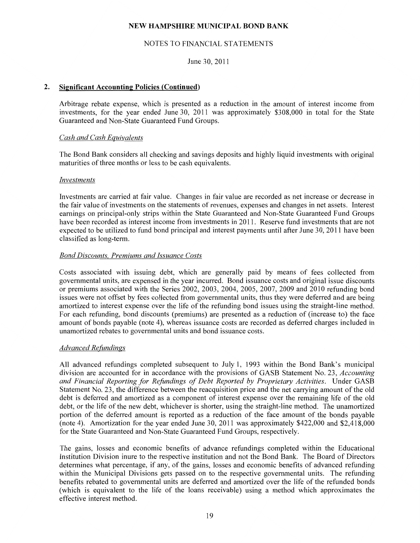#### NOTES TO FINANCIAL STATEMENTS

June 30, 2011

#### **2. Significant Accounting Policies (Continued)**

Arbitrage rebate expense, which is presented as a reduction in the amount of interest income from investments, for the year ended June 30, 2011 was approximately \$308,000 in total for the State Guaranteed and Non-State Guaranteed Fund Groups.

#### *Cash and Cash Equivalents*

The Bond Bank considers all checking and savings deposits and highly liquid investments with original maturities of three months or less to be cash equivalents.

#### *Investments*

Investments are carried at fair value. Changes in fair value are recorded as net increase or decrease in the fair value of investments on the statements of revenues, expenses and changes in net assets. Interest earnings on principal-only strips within the State Guaranteed and Non-State Guaranteed Fund Groups have been recorded as interest income from investments in 2011. Reserve fund investments that are not expected to be utilized to fund bond principal and interest payments until after June 30, 2011 have been classified as long-term.

#### *Bond Discounts, Premiums and Issuance Costs*

Costs associated with issuing debt, which are generally paid by means of fees collected from governmental units, are expensed in the year incurred. Bond issuance costs and original issue discounts or premiums associated with the Series 2002, 2003, 2004, 2005, 2007, 2009 and 2010 refunding bond issues were not offset by fees collected from governmental units, thus they were deferred and are being amortized to interest expense over the life of the refunding bond issues using the straight-line method. For each refunding, bond discounts (premiums) are presented as a reduction of (increase to) the face amount of bonds payable (note 4), whereas issuance costs are recorded as deferred charges included in unamortized rebates to governmental units and bond issuance costs.

#### *Advanced Refundings*

All advanced refundings completed subsequent to July 1, 1993 within the Bond Bank's municipal division are accounted for in accordance with the provisions of GASB Statement No. 23, *Accounting and Financial Reporting for Refundings of Debt Reported by Proprietary Activities.* Under GASB Statement No. 23, the difference between the reacquisition price and the net carrying amount of the old debt is deferred and amortized as a component of interest expense over the remaining life of the old debt, or the life of the new debt, whichever is shorter, using the straight-line method. The unamortized portion of the deferred amount is reported as a reduction of the face amount of the bonds payable (note 4). Amortization for the year ended June 30, 2011 was approximately \$422,000 and \$2,418,000 for the State Guaranteed and Non-State Guaranteed Fund Groups, respectively.

The gains, losses and economic benefits of advance refundings completed within the Educational Institution Division inure to the respective institution and not the Bond Bank. The Board of Directors determines what percentage, if any, of the gains, losses and economic benefits of advanced refunding within the Municipal Divisions gets passed on to the respective governmental units. The refunding benefits rebated to governmental units are deferred and amortized over the life of the refunded bonds (which is equivalent to the life of the loans receivable) using a method which approximates the effective interest method.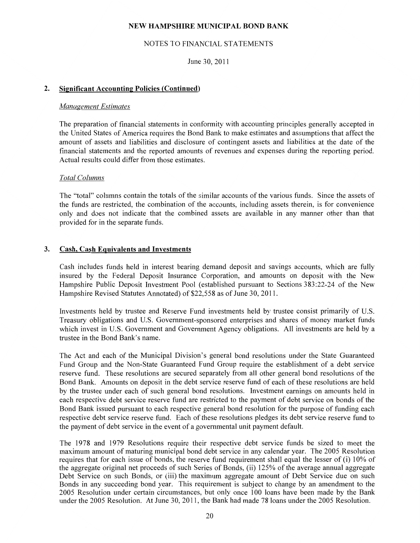#### NOTES TO FINANCIAL STATEMENTS

June 30, 2011

#### **2. Significant Accounting Policies (Continued)**

#### *Management Estimates*

The preparation of financial statements in conformity with accounting principles generally accepted in the United States of America requires the Bond Bank to make estimates and assumptions that affect the amount of assets and liabilities and disclosure of contingent assets and liabilities at the date of the financial statements and the reported amounts of revenues and expenses during the reporting period. Actual results could differ from those estimates.

#### *Total Columns*

The "total" columns contain the totals of the similar accounts of the various funds. Since the assets of the funds are restricted, the combination of the accounts, including assets therein, is for convenience only and does not indicate that the combined assets are available in any manner other than that provided for in the separate funds.

#### **3. Cash, Cash Equivalents and Investments**

Cash includes funds held in interest bearing demand deposit and savings accounts, which are fully insured by the Federal Deposit Insurance Corporation, and amounts on deposit with the New Hampshire Public Deposit Investment Pool (established pursuant to Sections 383:22-24 of the New Hampshire Revised Statutes Annotated) of \$22,558 as of June 30, 2011.

Investments held by trustee and Reserve Fund investments held by trustee consist primarily of U.S. Treasury obligations and U.S. Government-sponsored enterprises and shares of money market funds which invest in U.S. Government and Government Agency obligations. All investments are held by a trustee in the Bond Bank's name.

The Act and each of the Municipal Division's general bond resolutions under the State Guaranteed Fund Group and the Non-State Guaranteed Fund Group require the establishment of a debt service reserve fund. These resolutions are secured separately from all other general bond resolutions of the Bond Bank. Amounts on deposit in the debt service reserve fund of each of these resolutions are held by the trustee under each of such general bond resolutions. Investment earnings on amounts held in each respective debt service reserve fund are restricted to the payment of debt service on bonds of the Bond Bank issued pursuant to each respective general bond resolution for the purpose of funding each respective debt service reserve fund. Each of these resolutions pledges its debt service reserve fund to the payment of debt service in the event of a governmental unit payment default.

The 1978 and 1979 Resolutions require their respective debt service funds be sized to meet the maximum amount of maturing municipal bond debt service in any calendar year. The 2005 Resolution requires that for each issue of bonds, the reserve fund requirement shall equal the lesser of (i) 10% of the aggregate original net proceeds of such Series of Bonds, (ii) 125% of the average annual aggregate Debt Service on such Bonds, or (iii) the maximum aggregate amount of Debt Service due on such Bonds in any succeeding bond year. This requirement is subject to change by an amendment to the 2005 Resolution under certain circumstances, but only once 100 loans have been made by the Bank under the 2005 Resolution. At June 30, 2011, the Bank had made 78 loans under the 2005 Resolution.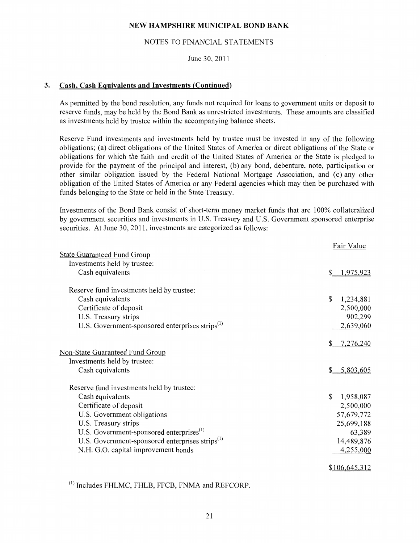#### NOTES TO FINANCIAL STATEMENTS

June 30, 2011

#### **3. Cash, Cash Equivalents and Investments (Continued)**

As permitted by the bond resolution, any funds not required for loans to government units or deposit to reserve funds, may be held by the Bond Bank as unrestricted investments. These amounts are classified as investments held by trustee within the accompanying balance sheets.

Reserve Fund investments and investments held by trustee must be invested in any of the following obligations; (a) direct obligations of the United States of America or direct obligations of the State or obligations for which the faith and credit of the United States of America or the State is pledged to provide for the payment of the principal and interest, (b) any bond, debenture, note, participation or other similar obligation issued by the Federal National Mortgage Association, and (c) any other obligation of the United States of America or any Federal agencies which may then be purchased with funds belonging to the State or held in the State Treasury.

Investments of the Bond Bank consist of short-term money market funds that are 100% collateralized by government securities and investments in U.S. Treasury and U.S. Government sponsored enterprise securities. At June 30, 2011, investments are categorized as follows:

|                                                             | Fair Value      |
|-------------------------------------------------------------|-----------------|
| <b>State Guaranteed Fund Group</b>                          |                 |
| Investments held by trustee:                                |                 |
| Cash equivalents                                            | \$1,975,923     |
| Reserve fund investments held by trustee:                   |                 |
| Cash equivalents                                            | \$<br>1,234,881 |
| Certificate of deposit                                      | 2,500,000       |
| U.S. Treasury strips                                        | 902,299         |
| U.S. Government-sponsored enterprises strips <sup>(1)</sup> | 2,639,060       |
|                                                             | $$-.7,276,240$  |
| <b>Non-State Guaranteed Fund Group</b>                      |                 |
| Investments held by trustee:                                |                 |
| Cash equivalents                                            | 5,803,605<br>\$ |
| Reserve fund investments held by trustee:                   |                 |
| Cash equivalents                                            | \$<br>1,958,087 |
| Certificate of deposit                                      | 2,500,000       |
| U.S. Government obligations                                 | 57,679,772      |
| U.S. Treasury strips                                        | 25,699,188      |
| U.S. Government-sponsored enterprises <sup>(1)</sup>        | 63,389          |
| U.S. Government-sponsored enterprises strips <sup>(1)</sup> | 14,489,876      |
| N.H. G.O. capital improvement bonds                         | 4,255,000       |
|                                                             | \$106,645,312   |

 $^{(1)}$  Includes FHLMC, FHLB, FFCB, FNMA and REFCORP.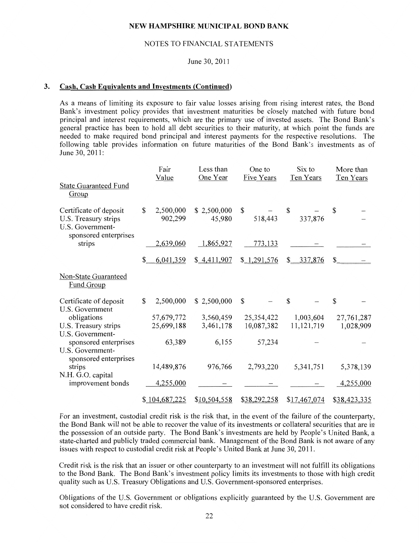#### NOTES TO FINANCIAL STATEMENTS

#### June 30, 2011

#### 3. Cash, Cash Equivalents and Investments (Continued)

As a means of limiting its exposure to fair value losses arising from rising interest rates, the Bond Bank's investment policy provides that investment maturities be closely matched with future bond principal and interest requirements, which are the primary use of invested assets. The Bond Bank's general practice has been to hold all debt securities to their maturity, at which point the funds are needed to make required bond principal and interest payments for the respective resolutions. The following table provides information on future maturities of the Bond Bank's investments as of June 30, 2011:

|                                                                                             | Fair<br>Value              | Less than<br>One Year | One to<br><b>Five Years</b> | Six to<br>Ten Years | More than<br>Ten Years |
|---------------------------------------------------------------------------------------------|----------------------------|-----------------------|-----------------------------|---------------------|------------------------|
| <b>State Guaranteed Fund</b><br>Group                                                       |                            |                       |                             |                     |                        |
| Certificate of deposit<br>U.S. Treasury strips<br>U.S. Government-<br>sponsored enterprises | \$<br>2,500,000<br>902,299 | \$2,500,000<br>45,980 | \$<br>518,443               | \$<br>337,876       | \$                     |
| strips                                                                                      | 2,639,060                  | 1,865,927             | 773,133                     |                     |                        |
|                                                                                             | \$<br>6,041,359            | \$4,411,907           | \$1,291,576                 | \$337,876           | \$                     |
| <b>Non-State Guaranteed</b><br><b>Fund Group</b>                                            |                            |                       |                             |                     |                        |
| Certificate of deposit<br>U.S. Government                                                   | \$<br>2,500,000            | \$2,500,000           | $\mathbb{S}$                | $\mathbf S$         | \$                     |
| obligations                                                                                 | 57,679,772                 | 3,560,459             | 25,354,422                  | 1,003,604           | 27,761,287             |
| U.S. Treasury strips<br>U.S. Government-                                                    | 25,699,188                 | 3,461,178             | 10,087,382                  | 11,121,719          | 1,028,909              |
| sponsored enterprises<br>U.S. Government-<br>sponsored enterprises                          | 63,389                     | 6,155                 | 57,234                      |                     |                        |
| strips                                                                                      | 14,489,876                 | 976,766               | 2,793,220                   | 5,341,751           | 5,378,139              |
| N.H. G.O. capital<br>improvement bonds                                                      | 4,255,000                  |                       |                             |                     | 4,255,000              |
|                                                                                             | \$104,687,225              | \$10,504,558          | \$38,292,258                | \$17,467,074        | \$38,423,335           |

For an investment, custodial credit risk is the risk that, in the event of the failure of the counterparty, the Bond Bank will not be able to recover the value of its investments or collateral securities that are in the possession of an outside party. The Bond Bank's investments are held by People's United Bank, a state-charted and publicly traded commercial bank. Management of the Bond Bank is not aware of any issues with respect to custodial credit risk at People's United Bank at June 30, 2011.

Credit risk is the risk that an issuer or other counterparty to an investment will not fulfill its obligations to the Bond Bank. The Bond Bank's investment policy limits its investments to those with high credit quality such as U.S. Treasury Obligations and U.S. Government-sponsored enterprises.

Obligations of the U.S. Government or obligations explicitly guaranteed by the U.S. Government are not considered to have credit risk.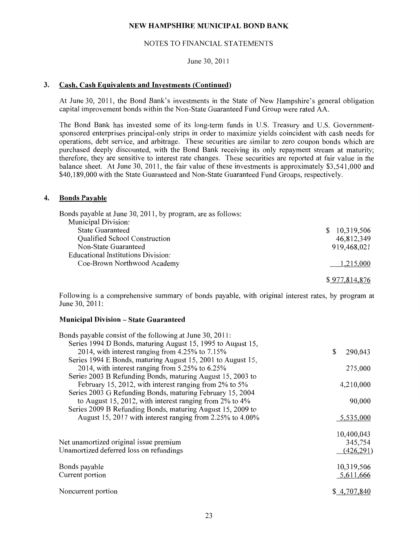#### NOTES TO FINANCIAL STATEMENTS

#### June 30, 2011

#### **3. Cash, Cash Equivalents and Investments (Continued)**

At June 30, 2011, the Bond Bank's investments in the State of New Hampshire's general obligation capital improvement bonds within the Non-State Guaranteed Fund Group were rated AA.

The Bond Bank has invested some of its long-term funds in U.S. Treasury and U.S. Governmentsponsored enterprises principal-only strips in order to maximize yields coincident with cash needs for operations, debt service, and arbitrage. These securities are similar to zero coupon bonds which are purchased deeply discounted, with the Bond Bank receiving its only repayment stream at maturity; therefore, they are sensitive to interest rate changes. These securities are reported at fair value in the balance sheet. At June 30, 2011, the fair value of these investments is approximately \$3,541,000 and \$40,189,000 with the State Guaranteed and Non-State Guaranteed Fund Groups, respectively.

#### **4. Bonds Payable**

| Bonds payable at June 30, 2011, by program, are as follows: |               |
|-------------------------------------------------------------|---------------|
| Municipal Division:                                         |               |
| <b>State Guaranteed</b>                                     | \$10,319,506  |
| Qualified School Construction                               | 46,812,349    |
| Non-State Guaranteed                                        | 919,468,021   |
| Educational Institutions Division:                          |               |
| Coe-Brown Northwood Academy                                 | 1,215,000     |
|                                                             |               |
|                                                             | \$977,814,876 |

Following is a comprehensive summary of bonds payable, with original interest rates, by program at June 30, 2011:

#### **Municipal Division - State Guaranteed**

| Bonds payable consist of the following at June 30, 2011:      |               |
|---------------------------------------------------------------|---------------|
| Series 1994 D Bonds, maturing August 15, 1995 to August 15,   |               |
| 2014, with interest ranging from 4.25% to 7.15%               | \$<br>290,043 |
| Series 1994 E Bonds, maturing August 15, 2001 to August 15,   |               |
| 2014, with interest ranging from $5.25\%$ to $6.25\%$         | 275,000       |
| Series 2003 B Refunding Bonds, maturing August 15, 2003 to    |               |
| February 15, 2012, with interest ranging from 2% to 5%        | 4,210,000     |
| Series 2003 G Refunding Bonds, maturing February 15, 2004     |               |
| to August 15, 2012, with interest ranging from $2\%$ to $4\%$ | 90,000        |
| Series 2009 B Refunding Bonds, maturing August 15, 2009 to    |               |
| August 15, 2017 with interest ranging from 2.25% to 4.00%     | 5,535,000     |
|                                                               |               |
|                                                               | 10,400,043    |
| Net unamortized original issue premium                        | 345,754       |
| Unamortized deferred loss on refundings                       | (426,291)     |
|                                                               |               |
| Bonds payable                                                 | 10,319,506    |
| Current portion                                               | 5,611,666     |
|                                                               |               |
| Noncurrent portion                                            | \$4,707,840   |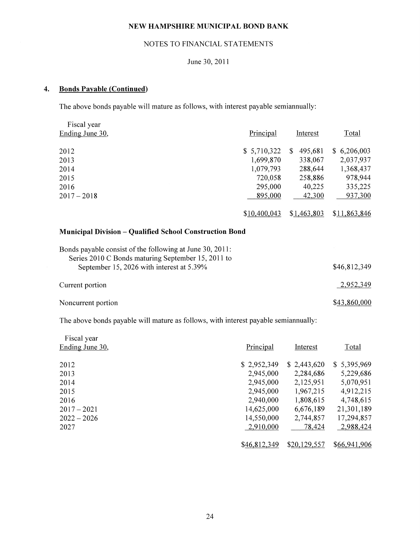#### NOTES TO FINANCIAL STATEMENTS

## June 30, 2011

## **4. Bonds Payable (Continued)**

The above bonds payable will mature as follows, with interest payable semiannually:

| Fiscal year                                                                                     |              |                          |              |
|-------------------------------------------------------------------------------------------------|--------------|--------------------------|--------------|
| Ending June 30,                                                                                 | Principal    | Interest                 | Total        |
| 2012                                                                                            | \$5,710,322  | 495,681<br><sup>\$</sup> | \$6,206,003  |
| 2013                                                                                            | 1,699,870    | 338,067                  | 2,037,937    |
| 2014                                                                                            | 1,079,793    | 288,644                  | 1,368,437    |
| 2015                                                                                            | 720,058      | 258,886                  | 978,944      |
| 2016                                                                                            | 295,000      | 40,225                   | 335,225      |
| $2017 - 2018$                                                                                   | 895,000      | 42,300                   | 937,300      |
|                                                                                                 | \$10,400,043 | \$1,463,803              | \$11,863,846 |
| <b>Municipal Division – Qualified School Construction Bond</b>                                  |              |                          |              |
| Bonds payable consist of the following at June 30, 2011:                                        |              |                          |              |
| Series 2010 C Bonds maturing September 15, 2011 to<br>September 15, 2026 with interest at 5.39% |              |                          | \$46,812,349 |
| Current portion                                                                                 |              |                          | 2,952,349    |
| Noncurrent portion                                                                              |              |                          | \$43,860,000 |

The above bonds payable will mature as follows, with interest payable semiannually:

| Fiscal year     |              |              |              |
|-----------------|--------------|--------------|--------------|
| Ending June 30, | Principal    | Interest     | Total        |
| 2012            | \$2,952,349  | \$2,443,620  | \$5,395,969  |
| 2013            | 2,945,000    | 2,284,686    | 5,229,686    |
| 2014            | 2,945,000    | 2,125,951    | 5,070,951    |
| 2015            | 2,945,000    | 1,967,215    | 4,912,215    |
| 2016            | 2,940,000    | 1,808,615    | 4,748,615    |
| $2017 - 2021$   | 14,625,000   | 6,676,189    | 21,301,189   |
| $2022 - 2026$   | 14,550,000   | 2,744,857    | 17,294,857   |
| 2027            | 2,910,000    | 78,424       | 2,988,424    |
|                 |              |              |              |
|                 | \$46,812,349 | \$20,129,557 | \$66,941,906 |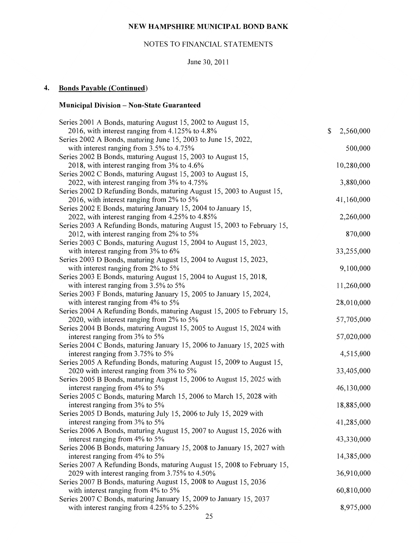## NOTES TO FINANCIAL STATEMENTS

June 30, 2011

## **4. Bonds Payable (Continued)**

## **Municipal Division- Non-State Guaranteed**

| Series 2001 A Bonds, maturing August 15, 2002 to August 15,             |                 |
|-------------------------------------------------------------------------|-----------------|
| 2016, with interest ranging from 4.125% to 4.8%                         | \$<br>2,560,000 |
| Series 2002 A Bonds, maturing June 15, 2003 to June 15, 2022,           |                 |
| with interest ranging from 3.5% to 4.75%                                | 500,000         |
| Series 2002 B Bonds, maturing August 15, 2003 to August 15,             |                 |
| 2018, with interest ranging from 3% to 4.6%                             | 10,280,000      |
| Series 2002 C Bonds, maturing August 15, 2003 to August 15,             |                 |
| 2022, with interest ranging from 3% to 4.75%                            | 3,880,000       |
| Series 2002 D Refunding Bonds, maturing August 15, 2003 to August 15,   |                 |
| 2016, with interest ranging from 2% to 5%                               | 41,160,000      |
| Series 2002 E Bonds, maturing January 15, 2004 to January 15,           |                 |
| 2022, with interest ranging from 4.25% to 4.85%                         | 2,260,000       |
| Series 2003 A Refunding Bonds, maturing August 15, 2003 to February 15, |                 |
| 2012, with interest ranging from 2% to 5%                               | 870,000         |
| Series 2003 C Bonds, maturing August 15, 2004 to August 15, 2023,       |                 |
| with interest ranging from 3% to 6%                                     | 33,255,000      |
| Series 2003 D Bonds, maturing August 15, 2004 to August 15, 2023,       |                 |
| with interest ranging from 2% to 5%                                     | 9,100,000       |
| Series 2003 E Bonds, maturing August 15, 2004 to August 15, 2018,       |                 |
| with interest ranging from 3.5% to 5%                                   | 11,260,000      |
| Series 2003 F Bonds, maturing January 15, 2005 to January 15, 2024,     |                 |
| with interest ranging from 4% to 5%                                     | 28,010,000      |
| Series 2004 A Refunding Bonds, maturing August 15, 2005 to February 15, |                 |
| 2020, with interest ranging from 2% to 5%                               | 57,705,000      |
| Series 2004 B Bonds, maturing August 15, 2005 to August 15, 2024 with   |                 |
| interest ranging from 3% to 5%                                          | 57,020,000      |
| Series 2004 C Bonds, maturing January 15, 2006 to January 15, 2025 with |                 |
| interest ranging from 3.75% to 5%                                       | 4,515,000       |
| Series 2005 A Refunding Bonds, maturing August 15, 2009 to August 15,   |                 |
| 2020 with interest ranging from 3% to 5%                                | 33,405,000      |
| Series 2005 B Bonds, maturing August 15, 2006 to August 15, 2025 with   |                 |
| interest ranging from 4% to 5%                                          | 46,130,000      |
| Series 2005 C Bonds, maturing March 15, 2006 to March 15, 2028 with     |                 |
| interest ranging from 3% to 5%                                          | 18,885,000      |
| Series 2005 D Bonds, maturing July 15, 2006 to July 15, 2029 with       |                 |
| interest ranging from 3% to 5%                                          | 41,285,000      |
| Series 2006 A Bonds, maturing August 15, 2007 to August 15, 2026 with   |                 |
| interest ranging from 4% to 5%                                          | 43,330,000      |
| Series 2006 B Bonds, maturing January 15, 2008 to January 15, 2027 with |                 |
| interest ranging from 4% to 5%                                          | 14,385,000      |
| Series 2007 A Refunding Bonds, maturing August 15, 2008 to February 15, |                 |
| 2029 with interest ranging from 3.75% to 4.50%                          | 36,910,000      |
| Series 2007 B Bonds, maturing August 15, 2008 to August 15, 2036        |                 |
| with interest ranging from 4% to 5%                                     | 60,810,000      |
| Series 2007 C Bonds, maturing January 15, 2009 to January 15, 2037      |                 |
| with interest ranging from 4.25% to 5.25%                               | 8,975,000       |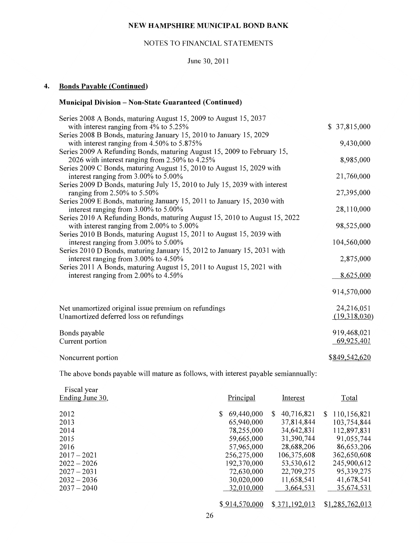#### NOTES TO FINANCIAL STATEMENTS

#### June 30, 2011

## **4. Bonds Payable (Continued)**

## **Municipal Division- Non-State Guaranteed (Continued)**

| Series 2008 A Bonds, maturing August 15, 2009 to August 15, 2037           |               |
|----------------------------------------------------------------------------|---------------|
| with interest ranging from $4\%$ to 5.25%                                  | \$37,815,000  |
| Series 2008 B Bonds, maturing January 15, 2010 to January 15, 2029         |               |
| with interest ranging from 4.50% to 5.875%                                 | 9,430,000     |
| Series 2009 A Refunding Bonds, maturing August 15, 2009 to February 15,    |               |
| 2026 with interest ranging from 2.50% to 4.25%                             | 8,985,000     |
| Series 2009 C Bonds, maturing August 15, 2010 to August 15, 2029 with      |               |
| interest ranging from 3.00% to 5.00%                                       | 21,760,000    |
| Series 2009 D Bonds, maturing July 15, 2010 to July 15, 2039 with interest |               |
| ranging from $2.50\%$ to $5.50\%$                                          | 27,395,000    |
| Series 2009 E Bonds, maturing January 15, 2011 to January 15, 2030 with    |               |
| interest ranging from 3.00% to 5.00%                                       | 28,110,000    |
| Series 2010 A Refunding Bonds, maturing August 15, 2010 to August 15, 2022 |               |
| with interest ranging from 2.00% to 5.00%                                  | 98,525,000    |
| Series 2010 B Bonds, maturing August 15, 2011 to August 15, 2039 with      |               |
| interest ranging from 3.00% to 5.00%                                       | 104,560,000   |
| Series 2010 D Bonds, maturing January 15, 2012 to January 15, 2031 with    |               |
| interest ranging from 3.00% to 4.50%                                       | 2,875,000     |
| Series 2011 A Bonds, maturing August 15, 2011 to August 15, 2021 with      |               |
| interest ranging from 2.00% to 4.50%                                       | 8,625,000     |
|                                                                            |               |
|                                                                            | 914,570,000   |
|                                                                            |               |
| Net unamortized original issue premium on refundings                       | 24,216,051    |
| Unamortized deferred loss on refundings                                    | (19,318,030)  |
|                                                                            | 919,468,021   |
| Bonds payable                                                              | 69,925,401    |
| Current portion                                                            |               |
| Noncurrent portion                                                         | \$849,542,620 |
|                                                                            |               |

The above bonds payable will mature as follows, with interest payable semiannually:

| Fiscal year<br>Ending June 30, | Principal        | Interest         | Total            |
|--------------------------------|------------------|------------------|------------------|
| 2012                           | 69,440,000<br>S. | 40,716,821<br>S. | 110,156,821<br>S |
| 2013                           | 65,940,000       | 37,814,844       | 103,754,844      |
| 2014                           | 78,255,000       | 34,642,831       | 112,897,831      |
| 2015                           | 59,665,000       | 31,390,744       | 91,055,744       |
| 2016                           | 57,965,000       | 28,688,206       | 86,653,206       |
| $2017 - 2021$                  | 256,275,000      | 106,375,608      | 362,650,608      |
| $2022 - 2026$                  | 192,370,000      | 53,530,612       | 245,900,612      |
| $2027 - 2031$                  | 72,630,000       | 22,709,275       | 95,339,275       |
| $2032 - 2036$                  | 30,020,000       | 11,658,541       | 41,678,541       |
| $2037 - 2040$                  | 32,010,000       | 3,664,531        | 35,674,531       |
|                                |                  |                  |                  |
|                                | \$914,570,000    | \$371,192,013    | \$1,285,762,013  |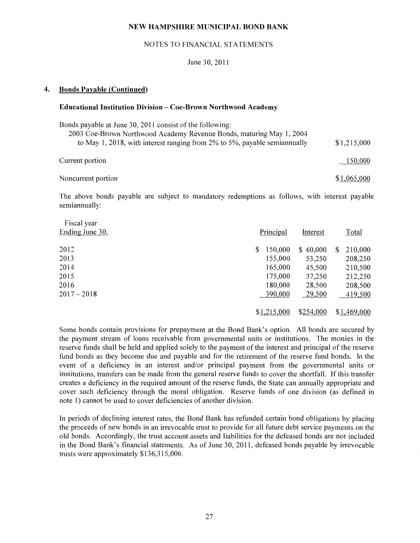#### NOTES TO FINANCIAL STATEMENTS

#### June 30, 2011

#### **4. Bonds Payable (Continued)**

#### **Educational Institution Division- Coe-Brown Northwood Academy**

| Bonds payable at June 30, 2011 consist of the following:<br>2003 Coe-Brown Northwood Academy Revenue Bonds, maturing May 1, 2004<br>to May 1, 2018, with interest ranging from 2% to 5%, payable semiannually | \$1,215,000 |
|---------------------------------------------------------------------------------------------------------------------------------------------------------------------------------------------------------------|-------------|
| Current portion                                                                                                                                                                                               | 150,000     |
| Noncurrent portion                                                                                                                                                                                            | \$1,065,000 |

The above bonds payable are subject to mandatory redemptions as follows, with interest payable semiannually:

| Fiscal year<br>Ending June 30, | Principal     | Interest     | Total         |
|--------------------------------|---------------|--------------|---------------|
| 2012                           | 150,000<br>\$ | 60,000<br>\$ | 210,000<br>\$ |
| 2013                           | 155,000       | 53,250       | 208,250       |
| 2014                           | 165,000       | 45,500       | 210,500       |
| 2015                           | 175,000       | 37,250       | 212,250       |
| 2016                           | 180,000       | 28,500       | 208,500       |
| $2017 - 2018$                  | 390,000       | 29,500       | 419,500       |
|                                | \$1,215,000   | \$254,000    | \$1,469,000   |

Some bonds contain provisions for prepayment at the Bond Bank's option. All bonds are secured by the payment stream of loans receivable from governmental units or institutions. The monies in the reserve funds shall be held and applied solely to the payment of the interest and principal of the reserve fund bonds as they become due and payable and for the retirement of the reserve fund bonds. In the event of a deficiency in an interest and/or principal payment from the governmental units or institutions, transfers can be made from the general reserve funds to cover the shortfall. If this transfer creates a deficiency in the required amount of the reserve funds, the State can annually appropriate and cover such deficiency through the moral obligation. Reserve funds of one division (as defined in note 1) cannot be used to cover deficiencies of another division.

In periods of declining interest rates, the Bond Bank has refunded certain bond obligations by placing the proceeds of new bonds in an irrevocable trust to provide for all future debt service payments on the old bonds. Accordingly, the trust account assets and liabilities for the defeased bonds are not included in the Bond Bank's financial statements. As of June 30, 2011, defeased bonds payable by irrevocable trusts were approximately \$136,315,000.